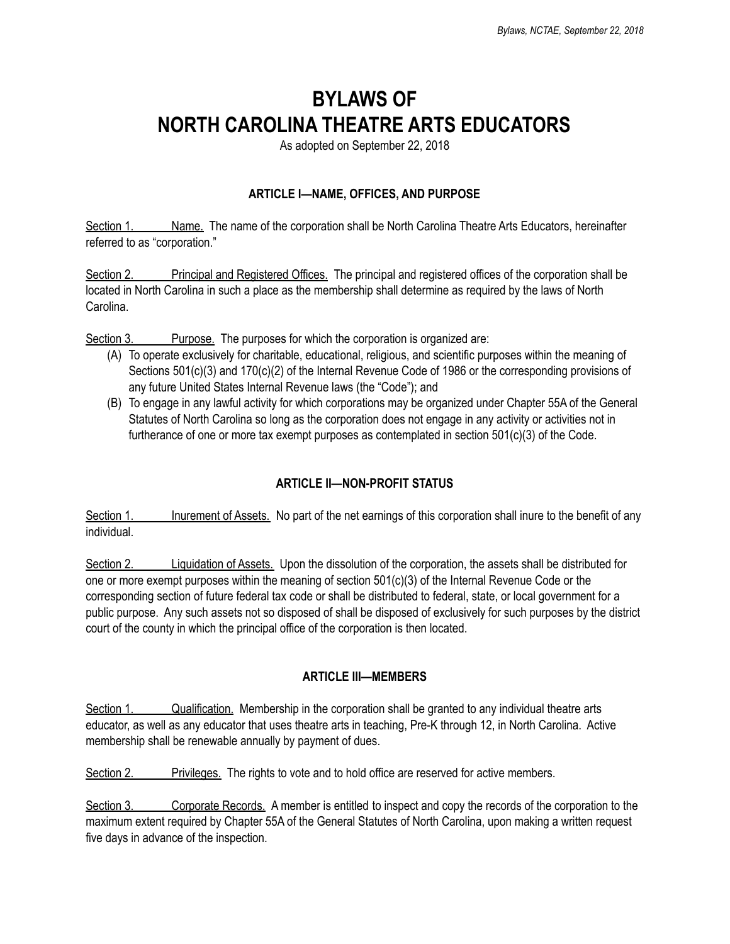# **BYLAWS OF NORTH CAROLINA THEATRE ARTS EDUCATORS**

As adopted on September 22, 2018

### **ARTICLE I—NAME, OFFICES, AND PURPOSE**

Section 1. Name. The name of the corporation shall be North Carolina Theatre Arts Educators, hereinafter referred to as "corporation."

Section 2. Principal and Registered Offices. The principal and registered offices of the corporation shall be located in North Carolina in such a place as the membership shall determine as required by the laws of North Carolina.

Section 3. Purpose. The purposes for which the corporation is organized are:

- (A) To operate exclusively for charitable, educational, religious, and scientific purposes within the meaning of Sections 501(c)(3) and 170(c)(2) of the Internal Revenue Code of 1986 or the corresponding provisions of any future United States Internal Revenue laws (the "Code"); and
- (B) To engage in any lawful activity for which corporations may be organized under Chapter 55A of the General Statutes of North Carolina so long as the corporation does not engage in any activity or activities not in furtherance of one or more tax exempt purposes as contemplated in section 501(c)(3) of the Code.

#### **ARTICLE II—NON-PROFIT STATUS**

Section 1. Inurement of Assets. No part of the net earnings of this corporation shall inure to the benefit of any individual.

Section 2. Liquidation of Assets. Upon the dissolution of the corporation, the assets shall be distributed for one or more exempt purposes within the meaning of section 501(c)(3) of the Internal Revenue Code or the corresponding section of future federal tax code or shall be distributed to federal, state, or local government for a public purpose. Any such assets not so disposed of shall be disposed of exclusively for such purposes by the district court of the county in which the principal office of the corporation is then located.

#### **ARTICLE III—MEMBERS**

Section 1. Qualification. Membership in the corporation shall be granted to any individual theatre arts educator, as well as any educator that uses theatre arts in teaching, Pre-K through 12, in North Carolina. Active membership shall be renewable annually by payment of dues.

Section 2. **Privileges.** The rights to vote and to hold office are reserved for active members.

Section 3. Corporate Records. A member is entitled to inspect and copy the records of the corporation to the maximum extent required by Chapter 55A of the General Statutes of North Carolina, upon making a written request five days in advance of the inspection.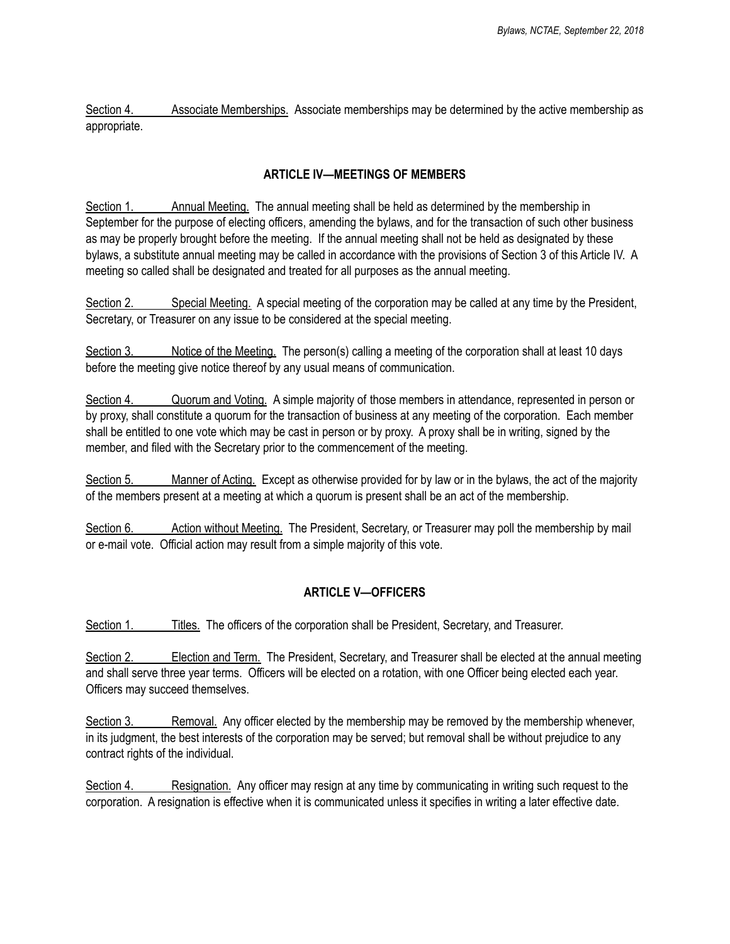Section 4. Associate Memberships. Associate memberships may be determined by the active membership as appropriate.

#### **ARTICLE IV—MEETINGS OF MEMBERS**

Section 1. Annual Meeting. The annual meeting shall be held as determined by the membership in September for the purpose of electing officers, amending the bylaws, and for the transaction of such other business as may be properly brought before the meeting. If the annual meeting shall not be held as designated by these bylaws, a substitute annual meeting may be called in accordance with the provisions of Section 3 of this Article IV. A meeting so called shall be designated and treated for all purposes as the annual meeting.

Section 2. Special Meeting. A special meeting of the corporation may be called at any time by the President, Secretary, or Treasurer on any issue to be considered at the special meeting.

Section 3. Notice of the Meeting. The person(s) calling a meeting of the corporation shall at least 10 days before the meeting give notice thereof by any usual means of communication.

Section 4. Quorum and Voting. A simple majority of those members in attendance, represented in person or by proxy, shall constitute a quorum for the transaction of business at any meeting of the corporation. Each member shall be entitled to one vote which may be cast in person or by proxy. A proxy shall be in writing, signed by the member, and filed with the Secretary prior to the commencement of the meeting.

Section 5. Manner of Acting. Except as otherwise provided for by law or in the bylaws, the act of the majority of the members present at a meeting at which a quorum is present shall be an act of the membership.

Section 6. Action without Meeting. The President, Secretary, or Treasurer may poll the membership by mail or e-mail vote. Official action may result from a simple majority of this vote.

#### **ARTICLE V—OFFICERS**

Section 1. Titles. The officers of the corporation shall be President, Secretary, and Treasurer.

Section 2. Election and Term. The President, Secretary, and Treasurer shall be elected at the annual meeting and shall serve three year terms. Officers will be elected on a rotation, with one Officer being elected each year. Officers may succeed themselves.

Section 3. Removal. Any officer elected by the membership may be removed by the membership whenever, in its judgment, the best interests of the corporation may be served; but removal shall be without prejudice to any contract rights of the individual.

Section 4. Resignation. Any officer may resign at any time by communicating in writing such request to the corporation. A resignation is effective when it is communicated unless it specifies in writing a later effective date.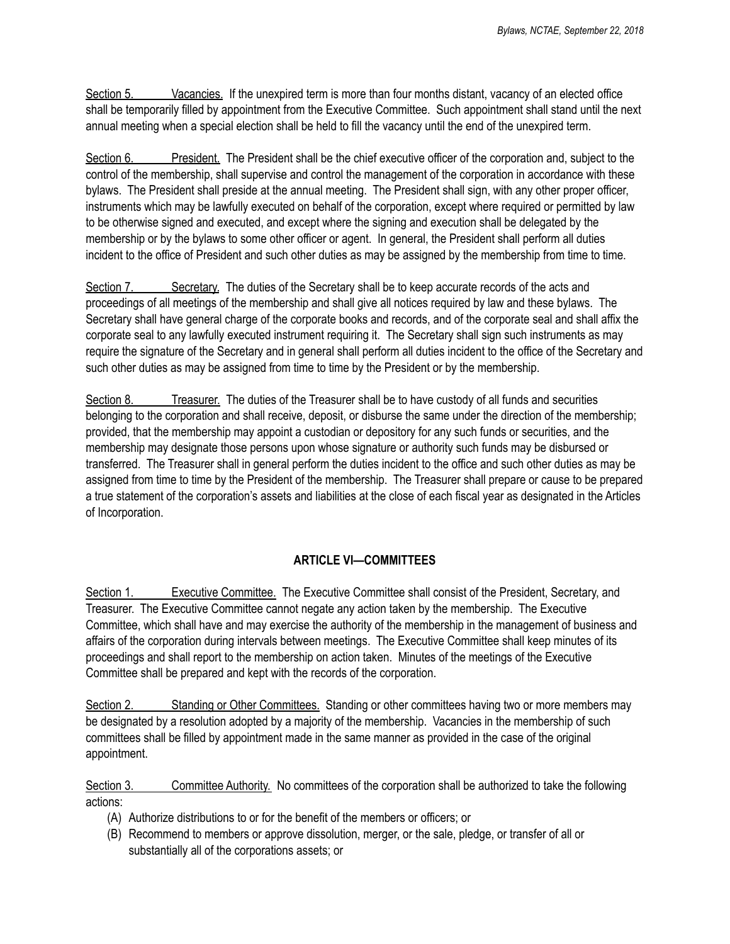Section 5. Vacancies. If the unexpired term is more than four months distant, vacancy of an elected office shall be temporarily filled by appointment from the Executive Committee. Such appointment shall stand until the next annual meeting when a special election shall be held to fill the vacancy until the end of the unexpired term.

Section 6. President. The President shall be the chief executive officer of the corporation and, subject to the control of the membership, shall supervise and control the management of the corporation in accordance with these bylaws. The President shall preside at the annual meeting. The President shall sign, with any other proper officer, instruments which may be lawfully executed on behalf of the corporation, except where required or permitted by law to be otherwise signed and executed, and except where the signing and execution shall be delegated by the membership or by the bylaws to some other officer or agent. In general, the President shall perform all duties incident to the office of President and such other duties as may be assigned by the membership from time to time.

Section 7. Secretary. The duties of the Secretary shall be to keep accurate records of the acts and proceedings of all meetings of the membership and shall give all notices required by law and these bylaws. The Secretary shall have general charge of the corporate books and records, and of the corporate seal and shall affix the corporate seal to any lawfully executed instrument requiring it. The Secretary shall sign such instruments as may require the signature of the Secretary and in general shall perform all duties incident to the office of the Secretary and such other duties as may be assigned from time to time by the President or by the membership.

Section 8. Treasurer. The duties of the Treasurer shall be to have custody of all funds and securities belonging to the corporation and shall receive, deposit, or disburse the same under the direction of the membership; provided, that the membership may appoint a custodian or depository for any such funds or securities, and the membership may designate those persons upon whose signature or authority such funds may be disbursed or transferred. The Treasurer shall in general perform the duties incident to the office and such other duties as may be assigned from time to time by the President of the membership. The Treasurer shall prepare or cause to be prepared a true statement of the corporation's assets and liabilities at the close of each fiscal year as designated in the Articles of Incorporation.

## **ARTICLE VI—COMMITTEES**

Section 1. Executive Committee. The Executive Committee shall consist of the President, Secretary, and Treasurer. The Executive Committee cannot negate any action taken by the membership. The Executive Committee, which shall have and may exercise the authority of the membership in the management of business and affairs of the corporation during intervals between meetings. The Executive Committee shall keep minutes of its proceedings and shall report to the membership on action taken. Minutes of the meetings of the Executive Committee shall be prepared and kept with the records of the corporation.

Section 2. Standing or Other Committees. Standing or other committees having two or more members may be designated by a resolution adopted by a majority of the membership. Vacancies in the membership of such committees shall be filled by appointment made in the same manner as provided in the case of the original appointment.

Section 3. Committee Authority. No committees of the corporation shall be authorized to take the following actions:

- (A) Authorize distributions to or for the benefit of the members or officers; or
- (B) Recommend to members or approve dissolution, merger, or the sale, pledge, or transfer of all or substantially all of the corporations assets; or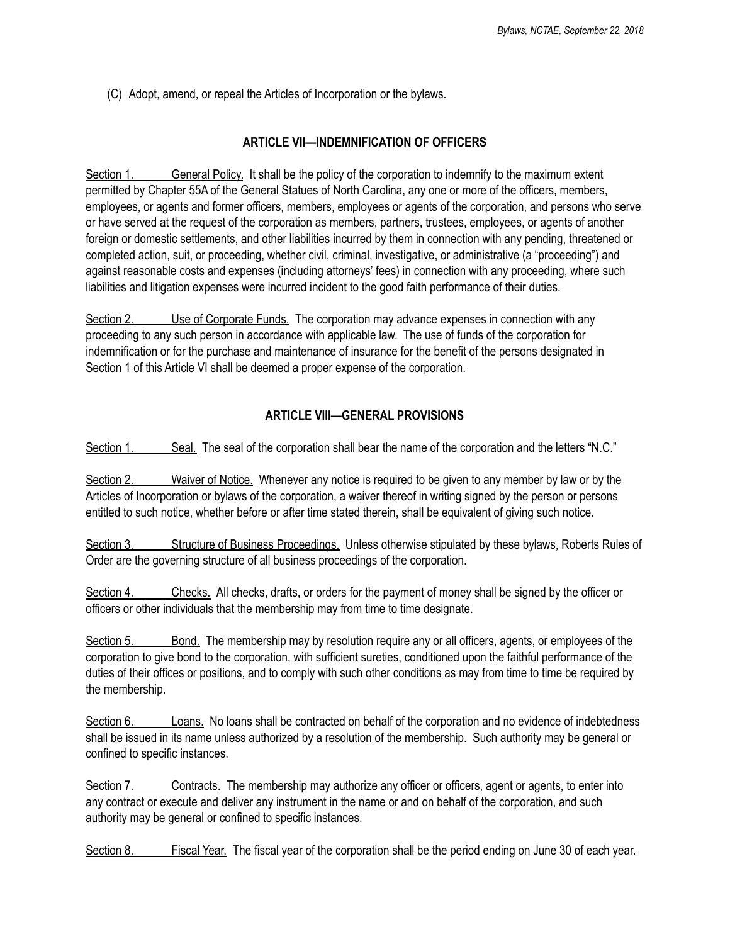(C) Adopt, amend, or repeal the Articles of Incorporation or the bylaws.

#### **ARTICLE VII—INDEMNIFICATION OF OFFICERS**

Section 1. General Policy. It shall be the policy of the corporation to indemnify to the maximum extent permitted by Chapter 55A of the General Statues of North Carolina, any one or more of the officers, members, employees, or agents and former officers, members, employees or agents of the corporation, and persons who serve or have served at the request of the corporation as members, partners, trustees, employees, or agents of another foreign or domestic settlements, and other liabilities incurred by them in connection with any pending, threatened or completed action, suit, or proceeding, whether civil, criminal, investigative, or administrative (a "proceeding") and against reasonable costs and expenses (including attorneys' fees) in connection with any proceeding, where such liabilities and litigation expenses were incurred incident to the good faith performance of their duties.

Section 2. Use of Corporate Funds. The corporation may advance expenses in connection with any proceeding to any such person in accordance with applicable law. The use of funds of the corporation for indemnification or for the purchase and maintenance of insurance for the benefit of the persons designated in Section 1 of this Article VI shall be deemed a proper expense of the corporation.

#### **ARTICLE VIII—GENERAL PROVISIONS**

Section 1. Seal. The seal of the corporation shall bear the name of the corporation and the letters "N.C."

Section 2. Waiver of Notice. Whenever any notice is required to be given to any member by law or by the Articles of Incorporation or bylaws of the corporation, a waiver thereof in writing signed by the person or persons entitled to such notice, whether before or after time stated therein, shall be equivalent of giving such notice.

Section 3. Structure of Business Proceedings. Unless otherwise stipulated by these bylaws, Roberts Rules of Order are the governing structure of all business proceedings of the corporation.

Section 4. Checks. All checks, drafts, or orders for the payment of money shall be signed by the officer or officers or other individuals that the membership may from time to time designate.

Section 5. Bond. The membership may by resolution require any or all officers, agents, or employees of the corporation to give bond to the corporation, with sufficient sureties, conditioned upon the faithful performance of the duties of their offices or positions, and to comply with such other conditions as may from time to time be required by the membership.

Section 6. Loans. No loans shall be contracted on behalf of the corporation and no evidence of indebtedness shall be issued in its name unless authorized by a resolution of the membership. Such authority may be general or confined to specific instances.

Section 7. Contracts. The membership may authorize any officer or officers, agent or agents, to enter into any contract or execute and deliver any instrument in the name or and on behalf of the corporation, and such authority may be general or confined to specific instances.

Section 8. Fiscal Year. The fiscal year of the corporation shall be the period ending on June 30 of each year.